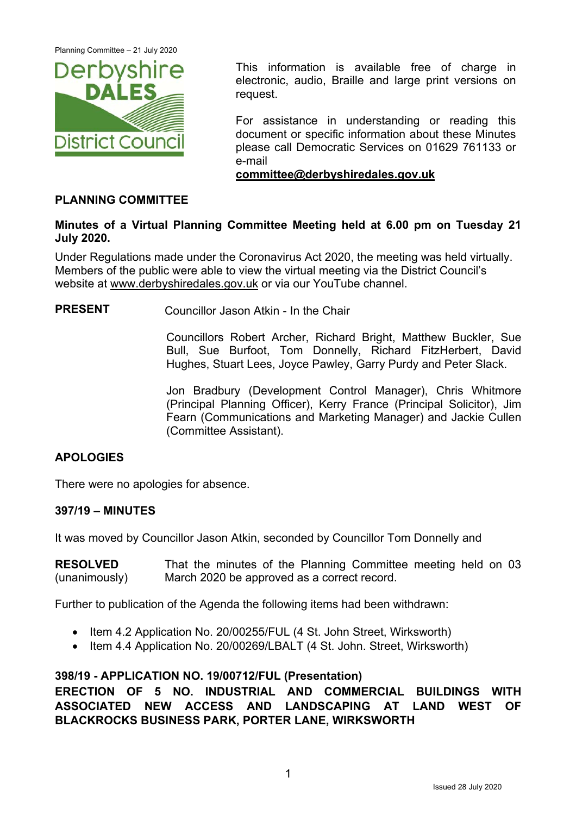

This information is available free of charge in electronic, audio, Braille and large print versions on request.

For assistance in understanding or reading this document or specific information about these Minutes please call Democratic Services on 01629 761133 or e-mail

**committee@derbyshiredales.gov.uk**

#### **PLANNING COMMITTEE**

#### **Minutes of a Virtual Planning Committee Meeting held at 6.00 pm on Tuesday 21 July 2020.**

Under Regulations made under the Coronavirus Act 2020, the meeting was held virtually. Members of the public were able to view the virtual meeting via the District Council's website at www.derbyshiredales.gov.uk or via our YouTube channel.

**PRESENT** Councillor Jason Atkin - In the Chair

 Councillors Robert Archer, Richard Bright, Matthew Buckler, Sue Bull, Sue Burfoot, Tom Donnelly, Richard FitzHerbert, David Hughes, Stuart Lees, Joyce Pawley, Garry Purdy and Peter Slack.

Jon Bradbury (Development Control Manager), Chris Whitmore (Principal Planning Officer), Kerry France (Principal Solicitor), Jim Fearn (Communications and Marketing Manager) and Jackie Cullen (Committee Assistant).

## **APOLOGIES**

There were no apologies for absence.

#### **397/19 – MINUTES**

It was moved by Councillor Jason Atkin, seconded by Councillor Tom Donnelly and

**RESOLVED**  (unanimously) That the minutes of the Planning Committee meeting held on 03 March 2020 be approved as a correct record.

Further to publication of the Agenda the following items had been withdrawn:

- Item 4.2 Application No. 20/00255/FUL (4 St. John Street, Wirksworth)
- Item 4.4 Application No. 20/00269/LBALT (4 St. John. Street, Wirksworth)

## **398/19 - APPLICATION NO. 19/00712/FUL (Presentation)**

**ERECTION OF 5 NO. INDUSTRIAL AND COMMERCIAL BUILDINGS WITH ASSOCIATED NEW ACCESS AND LANDSCAPING AT LAND WEST OF BLACKROCKS BUSINESS PARK, PORTER LANE, WIRKSWORTH**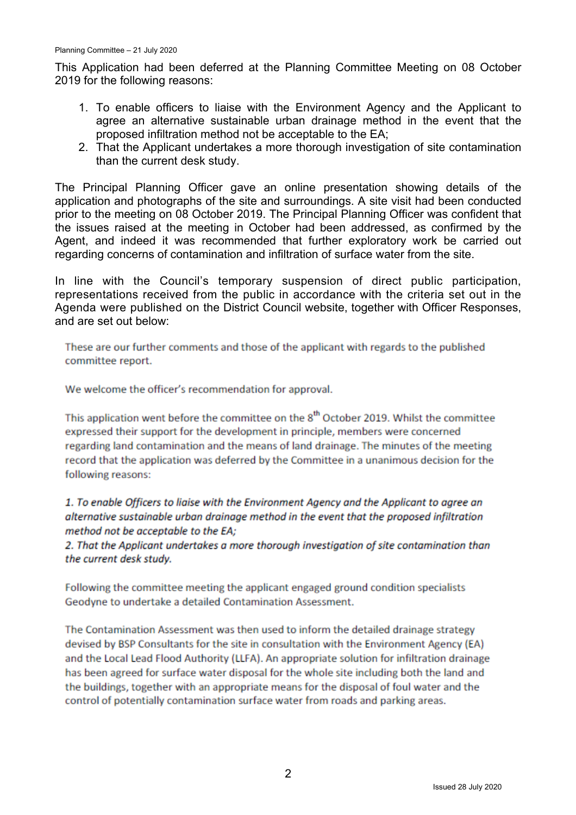This Application had been deferred at the Planning Committee Meeting on 08 October 2019 for the following reasons:

- 1. To enable officers to liaise with the Environment Agency and the Applicant to agree an alternative sustainable urban drainage method in the event that the proposed infiltration method not be acceptable to the EA;
- 2. That the Applicant undertakes a more thorough investigation of site contamination than the current desk study.

The Principal Planning Officer gave an online presentation showing details of the application and photographs of the site and surroundings. A site visit had been conducted prior to the meeting on 08 October 2019. The Principal Planning Officer was confident that the issues raised at the meeting in October had been addressed, as confirmed by the Agent, and indeed it was recommended that further exploratory work be carried out regarding concerns of contamination and infiltration of surface water from the site.

In line with the Council's temporary suspension of direct public participation, representations received from the public in accordance with the criteria set out in the Agenda were published on the District Council website, together with Officer Responses, and are set out below:

These are our further comments and those of the applicant with regards to the published committee report.

We welcome the officer's recommendation for approval.

This application went before the committee on the 8<sup>th</sup> October 2019. Whilst the committee expressed their support for the development in principle, members were concerned regarding land contamination and the means of land drainage. The minutes of the meeting record that the application was deferred by the Committee in a unanimous decision for the following reasons:

1. To enable Officers to liaise with the Environment Agency and the Applicant to agree an alternative sustainable urban drainage method in the event that the proposed infiltration method not be acceptable to the EA;

2. That the Applicant undertakes a more thorough investigation of site contamination than the current desk study.

Following the committee meeting the applicant engaged ground condition specialists Geodyne to undertake a detailed Contamination Assessment.

The Contamination Assessment was then used to inform the detailed drainage strategy devised by BSP Consultants for the site in consultation with the Environment Agency (EA) and the Local Lead Flood Authority (LLFA). An appropriate solution for infiltration drainage has been agreed for surface water disposal for the whole site including both the land and the buildings, together with an appropriate means for the disposal of foul water and the control of potentially contamination surface water from roads and parking areas.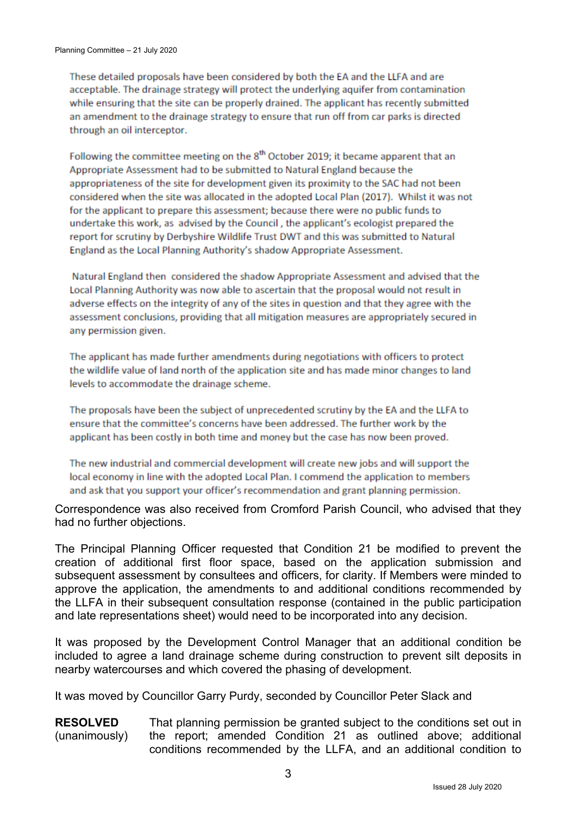These detailed proposals have been considered by both the EA and the LLFA and are acceptable. The drainage strategy will protect the underlying aquifer from contamination while ensuring that the site can be properly drained. The applicant has recently submitted an amendment to the drainage strategy to ensure that run off from car parks is directed through an oil interceptor.

Following the committee meeting on the 8<sup>th</sup> October 2019; it became apparent that an Appropriate Assessment had to be submitted to Natural England because the appropriateness of the site for development given its proximity to the SAC had not been considered when the site was allocated in the adopted Local Plan (2017). Whilst it was not for the applicant to prepare this assessment: because there were no public funds to undertake this work, as advised by the Council, the applicant's ecologist prepared the report for scrutiny by Derbyshire Wildlife Trust DWT and this was submitted to Natural England as the Local Planning Authority's shadow Appropriate Assessment.

Natural England then considered the shadow Appropriate Assessment and advised that the Local Planning Authority was now able to ascertain that the proposal would not result in adverse effects on the integrity of any of the sites in question and that they agree with the assessment conclusions, providing that all mitigation measures are appropriately secured in any permission given.

The applicant has made further amendments during negotiations with officers to protect the wildlife value of land north of the application site and has made minor changes to land levels to accommodate the drainage scheme.

The proposals have been the subject of unprecedented scrutiny by the EA and the LLFA to ensure that the committee's concerns have been addressed. The further work by the applicant has been costly in both time and money but the case has now been proved.

The new industrial and commercial development will create new jobs and will support the local economy in line with the adopted Local Plan. I commend the application to members and ask that you support your officer's recommendation and grant planning permission.

Correspondence was also received from Cromford Parish Council, who advised that they had no further objections.

The Principal Planning Officer requested that Condition 21 be modified to prevent the creation of additional first floor space, based on the application submission and subsequent assessment by consultees and officers, for clarity. If Members were minded to approve the application, the amendments to and additional conditions recommended by the LLFA in their subsequent consultation response (contained in the public participation and late representations sheet) would need to be incorporated into any decision.

It was proposed by the Development Control Manager that an additional condition be included to agree a land drainage scheme during construction to prevent silt deposits in nearby watercourses and which covered the phasing of development.

It was moved by Councillor Garry Purdy, seconded by Councillor Peter Slack and

**RESOLVED**  (unanimously) That planning permission be granted subject to the conditions set out in the report; amended Condition 21 as outlined above; additional conditions recommended by the LLFA, and an additional condition to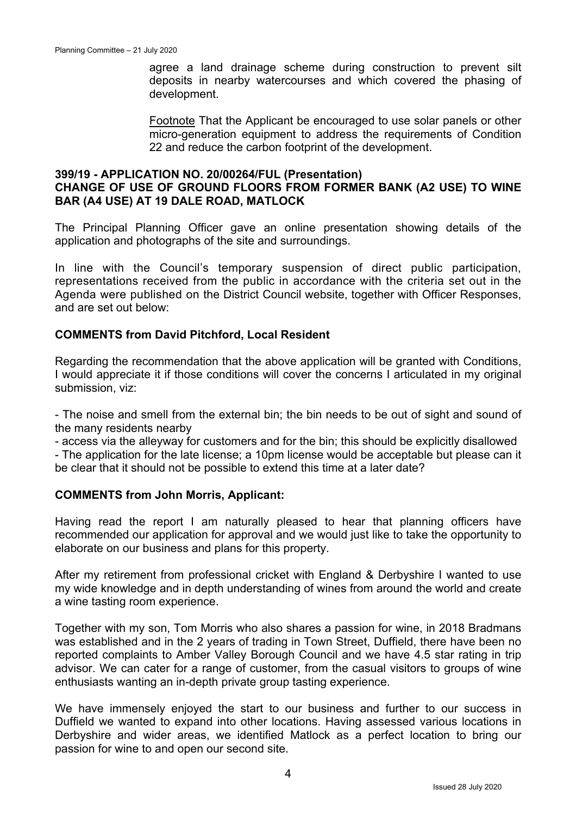agree a land drainage scheme during construction to prevent silt deposits in nearby watercourses and which covered the phasing of development.

Footnote That the Applicant be encouraged to use solar panels or other micro-generation equipment to address the requirements of Condition 22 and reduce the carbon footprint of the development.

#### **399/19 - APPLICATION NO. 20/00264/FUL (Presentation) CHANGE OF USE OF GROUND FLOORS FROM FORMER BANK (A2 USE) TO WINE BAR (A4 USE) AT 19 DALE ROAD, MATLOCK**

The Principal Planning Officer gave an online presentation showing details of the application and photographs of the site and surroundings.

In line with the Council's temporary suspension of direct public participation, representations received from the public in accordance with the criteria set out in the Agenda were published on the District Council website, together with Officer Responses, and are set out below:

### **COMMENTS from David Pitchford, Local Resident**

Regarding the recommendation that the above application will be granted with Conditions, I would appreciate it if those conditions will cover the concerns I articulated in my original submission, viz:

- The noise and smell from the external bin; the bin needs to be out of sight and sound of the many residents nearby

- access via the alleyway for customers and for the bin; this should be explicitly disallowed

- The application for the late license; a 10pm license would be acceptable but please can it be clear that it should not be possible to extend this time at a later date?

#### **COMMENTS from John Morris, Applicant:**

Having read the report I am naturally pleased to hear that planning officers have recommended our application for approval and we would just like to take the opportunity to elaborate on our business and plans for this property.

After my retirement from professional cricket with England & Derbyshire I wanted to use my wide knowledge and in depth understanding of wines from around the world and create a wine tasting room experience.

Together with my son, Tom Morris who also shares a passion for wine, in 2018 Bradmans was established and in the 2 years of trading in Town Street, Duffield, there have been no reported complaints to Amber Valley Borough Council and we have 4.5 star rating in trip advisor. We can cater for a range of customer, from the casual visitors to groups of wine enthusiasts wanting an in-depth private group tasting experience.

We have immensely enjoyed the start to our business and further to our success in Duffield we wanted to expand into other locations. Having assessed various locations in Derbyshire and wider areas, we identified Matlock as a perfect location to bring our passion for wine to and open our second site.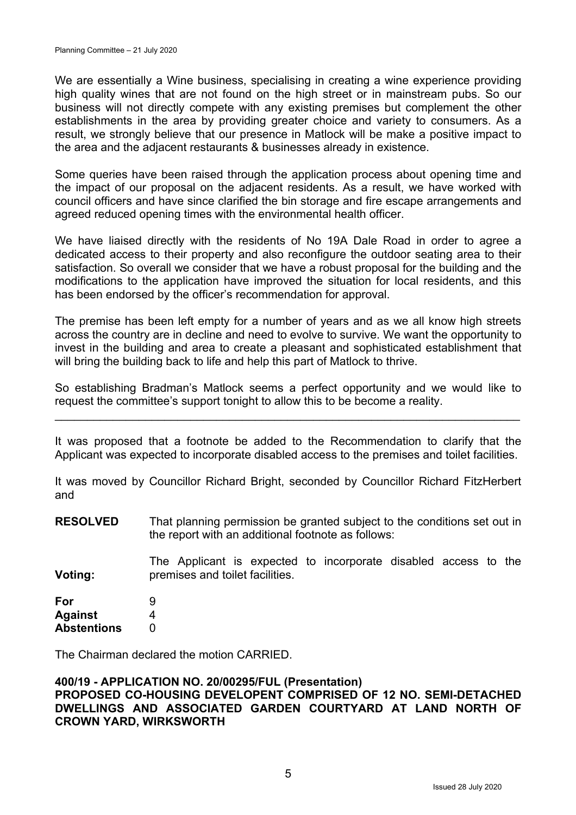We are essentially a Wine business, specialising in creating a wine experience providing high quality wines that are not found on the high street or in mainstream pubs. So our business will not directly compete with any existing premises but complement the other establishments in the area by providing greater choice and variety to consumers. As a result, we strongly believe that our presence in Matlock will be make a positive impact to the area and the adjacent restaurants & businesses already in existence.

Some queries have been raised through the application process about opening time and the impact of our proposal on the adjacent residents. As a result, we have worked with council officers and have since clarified the bin storage and fire escape arrangements and agreed reduced opening times with the environmental health officer.

We have liaised directly with the residents of No 19A Dale Road in order to agree a dedicated access to their property and also reconfigure the outdoor seating area to their satisfaction. So overall we consider that we have a robust proposal for the building and the modifications to the application have improved the situation for local residents, and this has been endorsed by the officer's recommendation for approval.

The premise has been left empty for a number of years and as we all know high streets across the country are in decline and need to evolve to survive. We want the opportunity to invest in the building and area to create a pleasant and sophisticated establishment that will bring the building back to life and help this part of Matlock to thrive.

So establishing Bradman's Matlock seems a perfect opportunity and we would like to request the committee's support tonight to allow this to be become a reality.

 $\mathcal{L}_\mathcal{L} = \mathcal{L}_\mathcal{L} = \mathcal{L}_\mathcal{L} = \mathcal{L}_\mathcal{L} = \mathcal{L}_\mathcal{L} = \mathcal{L}_\mathcal{L} = \mathcal{L}_\mathcal{L} = \mathcal{L}_\mathcal{L} = \mathcal{L}_\mathcal{L} = \mathcal{L}_\mathcal{L} = \mathcal{L}_\mathcal{L} = \mathcal{L}_\mathcal{L} = \mathcal{L}_\mathcal{L} = \mathcal{L}_\mathcal{L} = \mathcal{L}_\mathcal{L} = \mathcal{L}_\mathcal{L} = \mathcal{L}_\mathcal{L}$ 

It was proposed that a footnote be added to the Recommendation to clarify that the Applicant was expected to incorporate disabled access to the premises and toilet facilities.

It was moved by Councillor Richard Bright, seconded by Councillor Richard FitzHerbert and

**RESOLVED**  That planning permission be granted subject to the conditions set out in the report with an additional footnote as follows:

**Voting:**  The Applicant is expected to incorporate disabled access to the premises and toilet facilities.

| For                | 9 |
|--------------------|---|
| <b>Against</b>     | 4 |
| <b>Abstentions</b> | O |

The Chairman declared the motion CARRIED.

#### **400/19 - APPLICATION NO. 20/00295/FUL (Presentation) PROPOSED CO-HOUSING DEVELOPENT COMPRISED OF 12 NO. SEMI-DETACHED DWELLINGS AND ASSOCIATED GARDEN COURTYARD AT LAND NORTH OF CROWN YARD, WIRKSWORTH**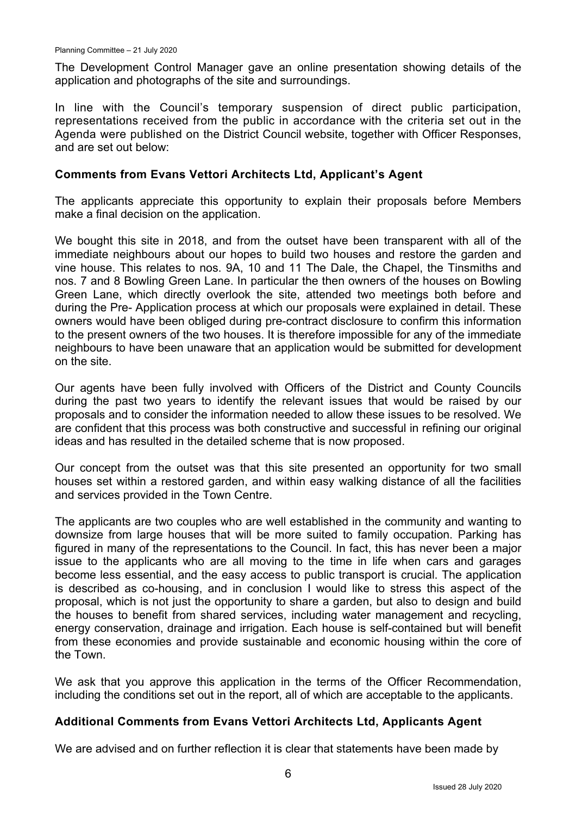The Development Control Manager gave an online presentation showing details of the application and photographs of the site and surroundings.

In line with the Council's temporary suspension of direct public participation, representations received from the public in accordance with the criteria set out in the Agenda were published on the District Council website, together with Officer Responses, and are set out below:

### **Comments from Evans Vettori Architects Ltd, Applicant's Agent**

The applicants appreciate this opportunity to explain their proposals before Members make a final decision on the application.

We bought this site in 2018, and from the outset have been transparent with all of the immediate neighbours about our hopes to build two houses and restore the garden and vine house. This relates to nos. 9A, 10 and 11 The Dale, the Chapel, the Tinsmiths and nos. 7 and 8 Bowling Green Lane. In particular the then owners of the houses on Bowling Green Lane, which directly overlook the site, attended two meetings both before and during the Pre- Application process at which our proposals were explained in detail. These owners would have been obliged during pre-contract disclosure to confirm this information to the present owners of the two houses. It is therefore impossible for any of the immediate neighbours to have been unaware that an application would be submitted for development on the site.

Our agents have been fully involved with Officers of the District and County Councils during the past two years to identify the relevant issues that would be raised by our proposals and to consider the information needed to allow these issues to be resolved. We are confident that this process was both constructive and successful in refining our original ideas and has resulted in the detailed scheme that is now proposed.

Our concept from the outset was that this site presented an opportunity for two small houses set within a restored garden, and within easy walking distance of all the facilities and services provided in the Town Centre.

The applicants are two couples who are well established in the community and wanting to downsize from large houses that will be more suited to family occupation. Parking has figured in many of the representations to the Council. In fact, this has never been a major issue to the applicants who are all moving to the time in life when cars and garages become less essential, and the easy access to public transport is crucial. The application is described as co-housing, and in conclusion I would like to stress this aspect of the proposal, which is not just the opportunity to share a garden, but also to design and build the houses to benefit from shared services, including water management and recycling, energy conservation, drainage and irrigation. Each house is self-contained but will benefit from these economies and provide sustainable and economic housing within the core of the Town.

We ask that you approve this application in the terms of the Officer Recommendation, including the conditions set out in the report, all of which are acceptable to the applicants.

## **Additional Comments from Evans Vettori Architects Ltd, Applicants Agent**

We are advised and on further reflection it is clear that statements have been made by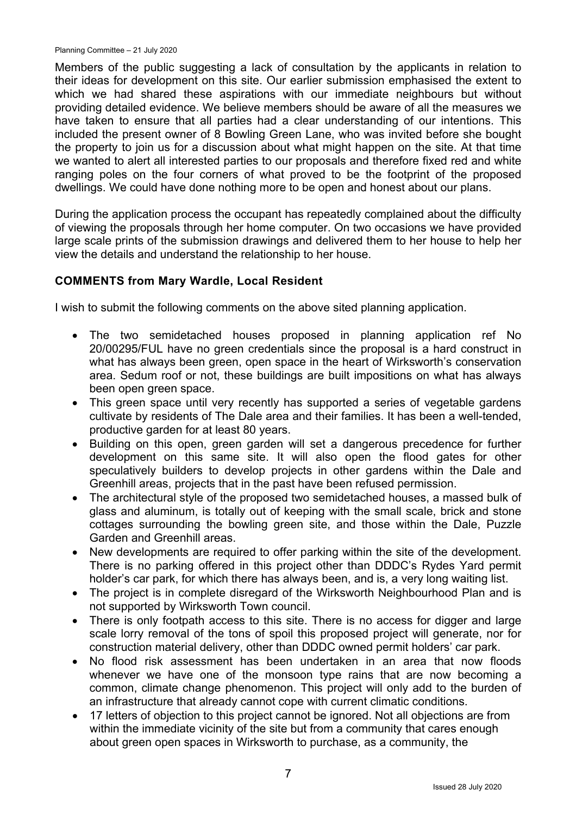Members of the public suggesting a lack of consultation by the applicants in relation to their ideas for development on this site. Our earlier submission emphasised the extent to which we had shared these aspirations with our immediate neighbours but without providing detailed evidence. We believe members should be aware of all the measures we have taken to ensure that all parties had a clear understanding of our intentions. This included the present owner of 8 Bowling Green Lane, who was invited before she bought the property to join us for a discussion about what might happen on the site. At that time we wanted to alert all interested parties to our proposals and therefore fixed red and white ranging poles on the four corners of what proved to be the footprint of the proposed dwellings. We could have done nothing more to be open and honest about our plans.

During the application process the occupant has repeatedly complained about the difficulty of viewing the proposals through her home computer. On two occasions we have provided large scale prints of the submission drawings and delivered them to her house to help her view the details and understand the relationship to her house.

#### **COMMENTS from Mary Wardle, Local Resident**

I wish to submit the following comments on the above sited planning application.

- The two semidetached houses proposed in planning application ref No 20/00295/FUL have no green credentials since the proposal is a hard construct in what has always been green, open space in the heart of Wirksworth's conservation area. Sedum roof or not, these buildings are built impositions on what has always been open green space.
- This green space until very recently has supported a series of vegetable gardens cultivate by residents of The Dale area and their families. It has been a well-tended, productive garden for at least 80 years.
- Building on this open, green garden will set a dangerous precedence for further development on this same site. It will also open the flood gates for other speculatively builders to develop projects in other gardens within the Dale and Greenhill areas, projects that in the past have been refused permission.
- The architectural style of the proposed two semidetached houses, a massed bulk of glass and aluminum, is totally out of keeping with the small scale, brick and stone cottages surrounding the bowling green site, and those within the Dale, Puzzle Garden and Greenhill areas.
- New developments are required to offer parking within the site of the development. There is no parking offered in this project other than DDDC's Rydes Yard permit holder's car park, for which there has always been, and is, a very long waiting list.
- The project is in complete disregard of the Wirksworth Neighbourhood Plan and is not supported by Wirksworth Town council.
- There is only footpath access to this site. There is no access for digger and large scale lorry removal of the tons of spoil this proposed project will generate, nor for construction material delivery, other than DDDC owned permit holders' car park.
- No flood risk assessment has been undertaken in an area that now floods whenever we have one of the monsoon type rains that are now becoming a common, climate change phenomenon. This project will only add to the burden of an infrastructure that already cannot cope with current climatic conditions.
- 17 letters of objection to this project cannot be janored. Not all objections are from within the immediate vicinity of the site but from a community that cares enough about green open spaces in Wirksworth to purchase, as a community, the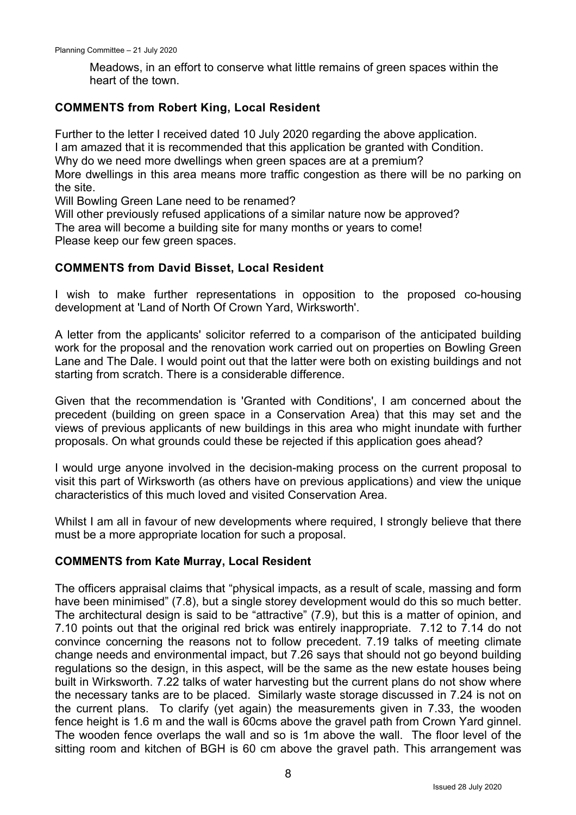Meadows, in an effort to conserve what little remains of green spaces within the heart of the town.

#### **COMMENTS from Robert King, Local Resident**

Further to the letter I received dated 10 July 2020 regarding the above application. I am amazed that it is recommended that this application be granted with Condition.

Why do we need more dwellings when green spaces are at a premium?

More dwellings in this area means more traffic congestion as there will be no parking on the site.

Will Bowling Green Lane need to be renamed?

Will other previously refused applications of a similar nature now be approved?

The area will become a building site for many months or years to come!

Please keep our few green spaces.

### **COMMENTS from David Bisset, Local Resident**

I wish to make further representations in opposition to the proposed co-housing development at 'Land of North Of Crown Yard, Wirksworth'.

A letter from the applicants' solicitor referred to a comparison of the anticipated building work for the proposal and the renovation work carried out on properties on Bowling Green Lane and The Dale. I would point out that the latter were both on existing buildings and not starting from scratch. There is a considerable difference.

Given that the recommendation is 'Granted with Conditions', I am concerned about the precedent (building on green space in a Conservation Area) that this may set and the views of previous applicants of new buildings in this area who might inundate with further proposals. On what grounds could these be rejected if this application goes ahead?

I would urge anyone involved in the decision-making process on the current proposal to visit this part of Wirksworth (as others have on previous applications) and view the unique characteristics of this much loved and visited Conservation Area.

Whilst I am all in favour of new developments where required, I strongly believe that there must be a more appropriate location for such a proposal.

#### **COMMENTS from Kate Murray, Local Resident**

The officers appraisal claims that "physical impacts, as a result of scale, massing and form have been minimised" (7.8), but a single storey development would do this so much better. The architectural design is said to be "attractive" (7.9), but this is a matter of opinion, and 7.10 points out that the original red brick was entirely inappropriate. 7.12 to 7.14 do not convince concerning the reasons not to follow precedent. 7.19 talks of meeting climate change needs and environmental impact, but 7.26 says that should not go beyond building regulations so the design, in this aspect, will be the same as the new estate houses being built in Wirksworth. 7.22 talks of water harvesting but the current plans do not show where the necessary tanks are to be placed. Similarly waste storage discussed in 7.24 is not on the current plans. To clarify (yet again) the measurements given in 7.33, the wooden fence height is 1.6 m and the wall is 60cms above the gravel path from Crown Yard ginnel. The wooden fence overlaps the wall and so is 1m above the wall. The floor level of the sitting room and kitchen of BGH is 60 cm above the gravel path. This arrangement was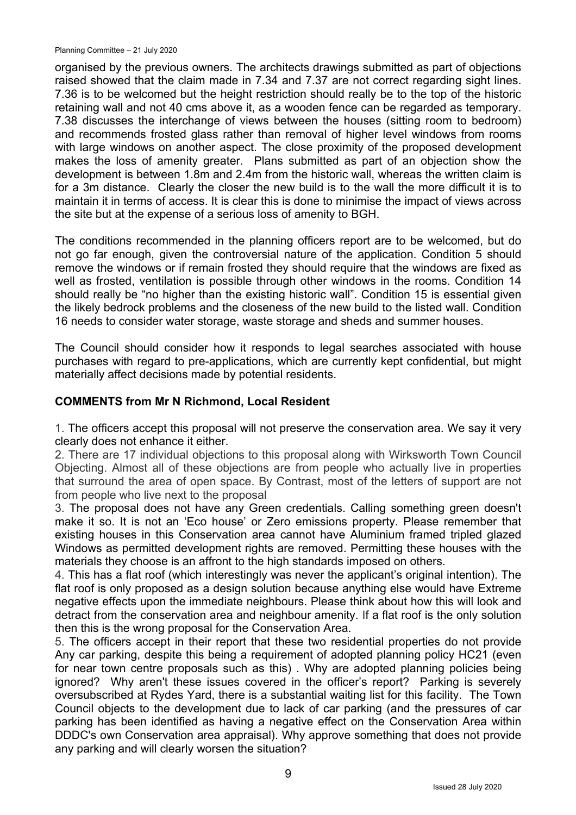Planning Committee – 21 July 2020

organised by the previous owners. The architects drawings submitted as part of objections raised showed that the claim made in 7.34 and 7.37 are not correct regarding sight lines. 7.36 is to be welcomed but the height restriction should really be to the top of the historic retaining wall and not 40 cms above it, as a wooden fence can be regarded as temporary. 7.38 discusses the interchange of views between the houses (sitting room to bedroom) and recommends frosted glass rather than removal of higher level windows from rooms with large windows on another aspect. The close proximity of the proposed development makes the loss of amenity greater. Plans submitted as part of an objection show the development is between 1.8m and 2.4m from the historic wall, whereas the written claim is for a 3m distance. Clearly the closer the new build is to the wall the more difficult it is to maintain it in terms of access. It is clear this is done to minimise the impact of views across the site but at the expense of a serious loss of amenity to BGH.

The conditions recommended in the planning officers report are to be welcomed, but do not go far enough, given the controversial nature of the application. Condition 5 should remove the windows or if remain frosted they should require that the windows are fixed as well as frosted, ventilation is possible through other windows in the rooms. Condition 14 should really be "no higher than the existing historic wall". Condition 15 is essential given the likely bedrock problems and the closeness of the new build to the listed wall. Condition 16 needs to consider water storage, waste storage and sheds and summer houses.

The Council should consider how it responds to legal searches associated with house purchases with regard to pre-applications, which are currently kept confidential, but might materially affect decisions made by potential residents.

### **COMMENTS from Mr N Richmond, Local Resident**

1. The officers accept this proposal will not preserve the conservation area. We say it very clearly does not enhance it either.

2. There are 17 individual objections to this proposal along with Wirksworth Town Council Objecting. Almost all of these objections are from people who actually live in properties that surround the area of open space. By Contrast, most of the letters of support are not from people who live next to the proposal

3. The proposal does not have any Green credentials. Calling something green doesn't make it so. It is not an 'Eco house' or Zero emissions property. Please remember that existing houses in this Conservation area cannot have Aluminium framed tripled glazed Windows as permitted development rights are removed. Permitting these houses with the materials they choose is an affront to the high standards imposed on others.

4. This has a flat roof (which interestingly was never the applicant's original intention). The flat roof is only proposed as a design solution because anything else would have Extreme negative effects upon the immediate neighbours. Please think about how this will look and detract from the conservation area and neighbour amenity. If a flat roof is the only solution then this is the wrong proposal for the Conservation Area.

5. The officers accept in their report that these two residential properties do not provide Any car parking, despite this being a requirement of adopted planning policy HC21 (even for near town centre proposals such as this) . Why are adopted planning policies being ignored? Why aren't these issues covered in the officer's report? Parking is severely oversubscribed at Rydes Yard, there is a substantial waiting list for this facility. The Town Council objects to the development due to lack of car parking (and the pressures of car parking has been identified as having a negative effect on the Conservation Area within DDDC's own Conservation area appraisal). Why approve something that does not provide any parking and will clearly worsen the situation?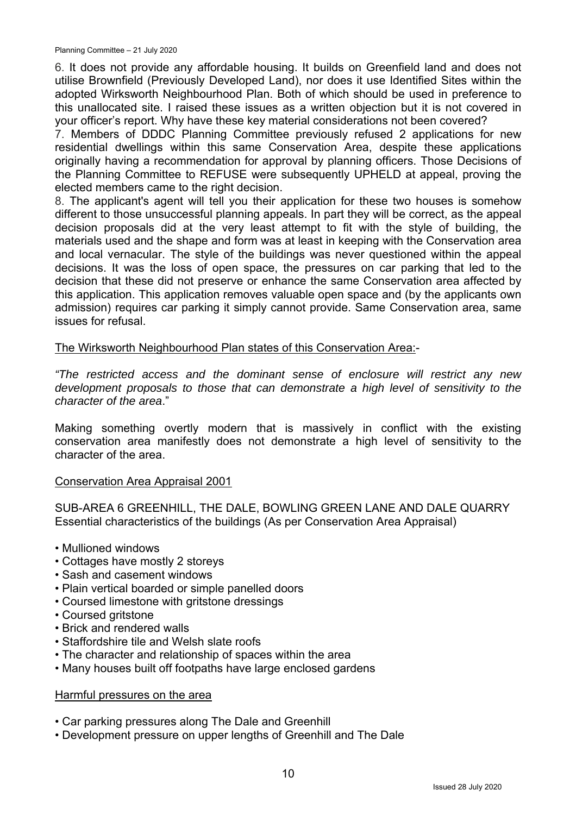6. It does not provide any affordable housing. It builds on Greenfield land and does not utilise Brownfield (Previously Developed Land), nor does it use Identified Sites within the adopted Wirksworth Neighbourhood Plan. Both of which should be used in preference to this unallocated site. I raised these issues as a written objection but it is not covered in your officer's report. Why have these key material considerations not been covered?

7. Members of DDDC Planning Committee previously refused 2 applications for new residential dwellings within this same Conservation Area, despite these applications originally having a recommendation for approval by planning officers. Those Decisions of the Planning Committee to REFUSE were subsequently UPHELD at appeal, proving the elected members came to the right decision.

8. The applicant's agent will tell you their application for these two houses is somehow different to those unsuccessful planning appeals. In part they will be correct, as the appeal decision proposals did at the very least attempt to fit with the style of building, the materials used and the shape and form was at least in keeping with the Conservation area and local vernacular. The style of the buildings was never questioned within the appeal decisions. It was the loss of open space, the pressures on car parking that led to the decision that these did not preserve or enhance the same Conservation area affected by this application. This application removes valuable open space and (by the applicants own admission) requires car parking it simply cannot provide. Same Conservation area, same issues for refusal.

The Wirksworth Neighbourhood Plan states of this Conservation Area:-

*"The restricted access and the dominant sense of enclosure will restrict any new development proposals to those that can demonstrate a high level of sensitivity to the character of the area*."

Making something overtly modern that is massively in conflict with the existing conservation area manifestly does not demonstrate a high level of sensitivity to the character of the area.

#### Conservation Area Appraisal 2001

SUB-AREA 6 GREENHILL, THE DALE, BOWLING GREEN LANE AND DALE QUARRY Essential characteristics of the buildings (As per Conservation Area Appraisal)

- Mullioned windows
- Cottages have mostly 2 storeys
- Sash and casement windows
- Plain vertical boarded or simple panelled doors
- Coursed limestone with gritstone dressings
- Coursed gritstone
- Brick and rendered walls
- Staffordshire tile and Welsh slate roofs
- The character and relationship of spaces within the area
- Many houses built off footpaths have large enclosed gardens

#### Harmful pressures on the area

- Car parking pressures along The Dale and Greenhill
- Development pressure on upper lengths of Greenhill and The Dale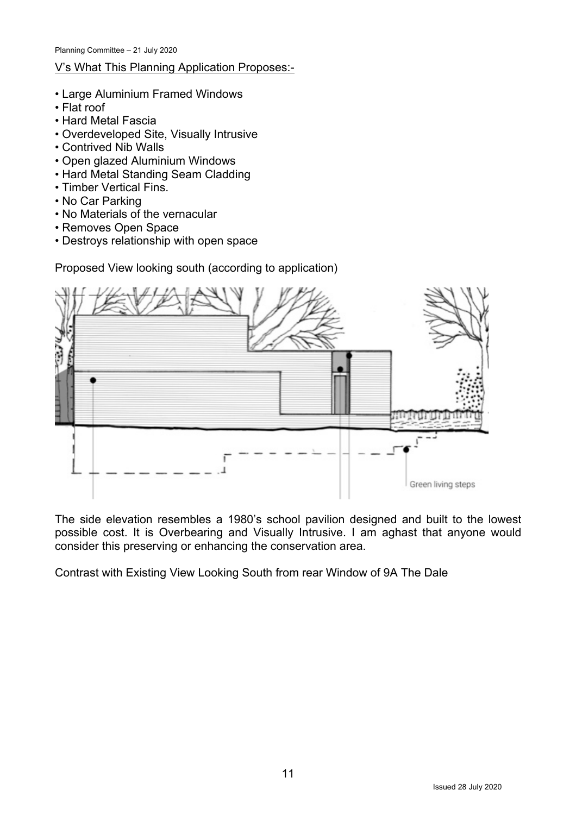# V's What This Planning Application Proposes:-

- Large Aluminium Framed Windows
- Flat roof
- Hard Metal Fascia
- Overdeveloped Site, Visually Intrusive
- Contrived Nib Walls
- Open glazed Aluminium Windows
- Hard Metal Standing Seam Cladding
- Timber Vertical Fins.
- No Car Parking
- No Materials of the vernacular
- Removes Open Space
- Destroys relationship with open space

Green living steps

Proposed View looking south (according to application)

The side elevation resembles a 1980's school pavilion designed and built to the lowest possible cost. It is Overbearing and Visually Intrusive. I am aghast that anyone would consider this preserving or enhancing the conservation area.

Contrast with Existing View Looking South from rear Window of 9A The Dale